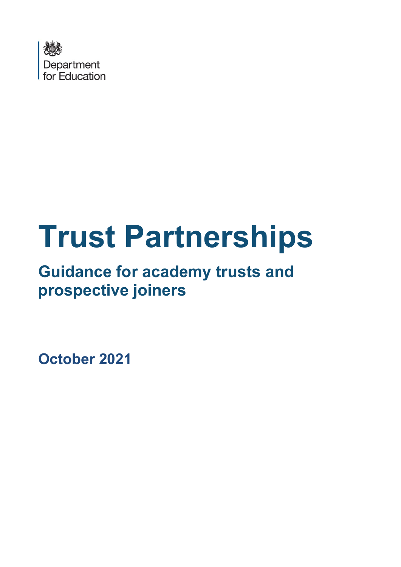

# **Trust Partnerships**

## **Guidance for academy trusts and prospective joiners**

**October 2021**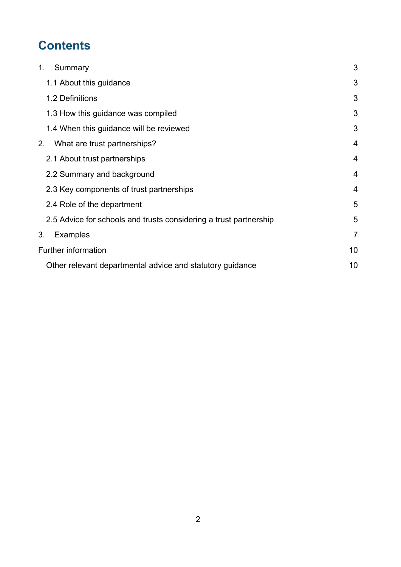## **Contents**

| Summary<br>1.                                                     | 3              |
|-------------------------------------------------------------------|----------------|
| 1.1 About this guidance                                           | 3              |
| 1.2 Definitions                                                   | 3              |
| 1.3 How this guidance was compiled                                | 3              |
| 1.4 When this guidance will be reviewed                           | 3              |
| 2.<br>What are trust partnerships?                                | 4              |
| 2.1 About trust partnerships                                      | $\overline{4}$ |
| 2.2 Summary and background                                        | $\overline{4}$ |
| 2.3 Key components of trust partnerships                          | $\overline{4}$ |
| 2.4 Role of the department                                        | 5              |
| 2.5 Advice for schools and trusts considering a trust partnership | 5              |
| <b>Examples</b><br>3.                                             | $\overline{7}$ |
| <b>Further information</b>                                        | 10             |
| Other relevant departmental advice and statutory guidance         | 10             |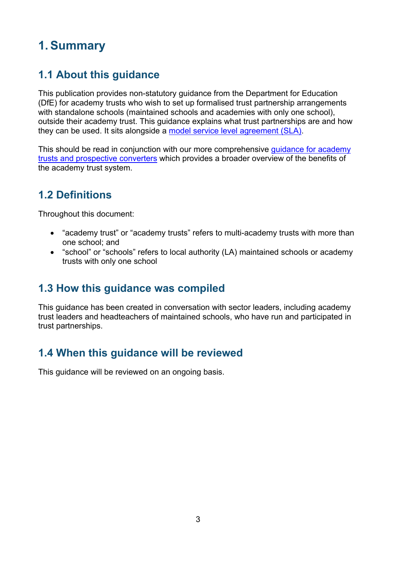## **1.Summary**

#### **1.1 About this guidance**

This publication provides non-statutory guidance from the Department for Education (DfE) for academy trusts who wish to set up formalised trust partnership arrangements with standalone schools (maintained schools and academies with only one school), outside their academy trust. This guidance explains what trust partnerships are and how they can be used. It sits alongside a [model service level agreement \(SLA\).](https://www.gov.uk/government/publications/multi-academy-trusts-establishing-and-developing-your-trust)

This should be read in conjunction with our more comprehensive guidance for academy [trusts and prospective converters](https://www.gov.uk/government/publications/multi-academy-trusts-establishing-and-developing-your-trust) which provides a broader overview of the benefits of the academy trust system.

#### **1.2 Definitions**

Throughout this document:

- "academy trust" or "academy trusts" refers to multi-academy trusts with more than one school; and
- "school" or "schools" refers to local authority (LA) maintained schools or academy trusts with only one school

#### **1.3 How this guidance was compiled**

This guidance has been created in conversation with sector leaders, including academy trust leaders and headteachers of maintained schools, who have run and participated in trust partnerships.

#### **1.4 When this guidance will be reviewed**

This guidance will be reviewed on an ongoing basis.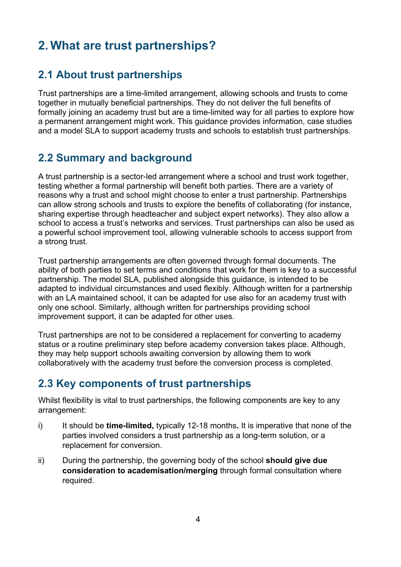### **2. What are trust partnerships?**

#### **2.1 About trust partnerships**

Trust partnerships are a time-limited arrangement, allowing schools and trusts to come together in mutually beneficial partnerships. They do not deliver the full benefits of formally joining an academy trust but are a time-limited way for all parties to explore how a permanent arrangement might work. This guidance provides information, case studies and a model SLA to support academy trusts and schools to establish trust partnerships.

#### **2.2 Summary and background**

A trust partnership is a sector-led arrangement where a school and trust work together, testing whether a formal partnership will benefit both parties. There are a variety of reasons why a trust and school might choose to enter a trust partnership. Partnerships can allow strong schools and trusts to explore the benefits of collaborating (for instance, sharing expertise through headteacher and subject expert networks). They also allow a school to access a trust's networks and services. Trust partnerships can also be used as a powerful school improvement tool, allowing vulnerable schools to access support from a strong trust.

Trust partnership arrangements are often governed through formal documents. The ability of both parties to set terms and conditions that work for them is key to a successful partnership. The model SLA, published alongside this guidance, is intended to be adapted to individual circumstances and used flexibly. Although written for a partnership with an LA maintained school, it can be adapted for use also for an academy trust with only one school. Similarly, although written for partnerships providing school improvement support, it can be adapted for other uses.

Trust partnerships are not to be considered a replacement for converting to academy status or a routine preliminary step before academy conversion takes place. Although, they may help support schools awaiting conversion by allowing them to work collaboratively with the academy trust before the conversion process is completed.

#### **2.3 Key components of trust partnerships**

Whilst flexibility is vital to trust partnerships, the following components are key to any arrangement:

- i) It should be **time-limited,** typically 12-18 months**.** It is imperative that none of the parties involved considers a trust partnership as a long-term solution, or a replacement for conversion.
- ii) During the partnership, the governing body of the school **should give due consideration to academisation/merging** through formal consultation where required.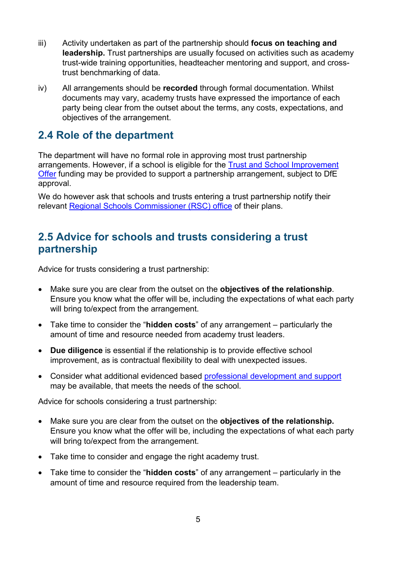- iii) Activity undertaken as part of the partnership should **focus on teaching and leadership.** Trust partnerships are usually focused on activities such as academy trust-wide training opportunities, headteacher mentoring and support, and crosstrust benchmarking of data.
- iv) All arrangements should be **recorded** through formal documentation. Whilst documents may vary, academy trusts have expressed the importance of each party being clear from the outset about the terms, any costs, expectations, and objectives of the arrangement.

#### **2.4 Role of the department**

The department will have no formal role in approving most trust partnership arrangements. However, if a school is eligible for the [Trust and School Improvement](https://www.gov.uk/guidance/trust-and-school-improvement-offer)  [Offer](https://www.gov.uk/guidance/trust-and-school-improvement-offer) funding may be provided to support a partnership arrangement, subject to DfE approval.

We do however ask that schools and trusts entering a trust partnership notify their relevant [Regional Schools Commissioner \(RSC\) office](https://www.gov.uk/government/organisations/regional-schools-commissioners/about) of their plans.

#### **2.5 Advice for schools and trusts considering a trust partnership**

Advice for trusts considering a trust partnership:

- Make sure you are clear from the outset on the **objectives of the relationship**. Ensure you know what the offer will be, including the expectations of what each party will bring to/expect from the arrangement.
- Take time to consider the "**hidden costs**" of any arrangement particularly the amount of time and resource needed from academy trust leaders.
- **Due diligence** is essential if the relationship is to provide effective school improvement, as is contractual flexibility to deal with unexpected issues.
- Consider what additional evidenced based [professional development and support](https://www.gov.uk/government/collections/school-improvement-support) may be available, that meets the needs of the school.

Advice for schools considering a trust partnership:

- Make sure you are clear from the outset on the **objectives of the relationship.** Ensure you know what the offer will be, including the expectations of what each party will bring to/expect from the arrangement.
- Take time to consider and engage the right academy trust.
- Take time to consider the "**hidden costs**" of any arrangement particularly in the amount of time and resource required from the leadership team.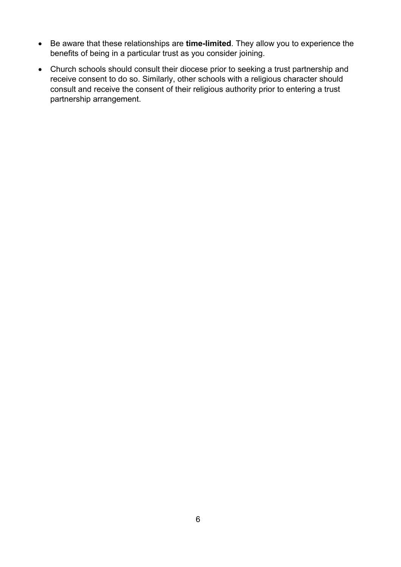- Be aware that these relationships are **time-limited**. They allow you to experience the benefits of being in a particular trust as you consider joining.
- Church schools should consult their diocese prior to seeking a trust partnership and receive consent to do so. Similarly, other schools with a religious character should consult and receive the consent of their religious authority prior to entering a trust partnership arrangement.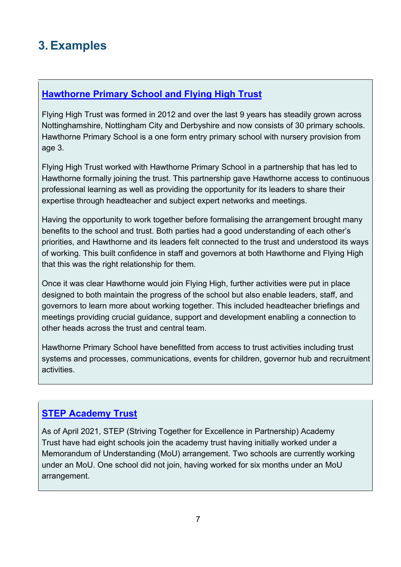## **3.Examples**

#### **Hawthorne Primary School and [Flying High Trust](https://www.flyinghighpartnership.co.uk/flying-high-trust)**

Flying High Trust was formed in 2012 and over the last 9 years has steadily grown across Nottinghamshire, Nottingham City and Derbyshire and now consists of 30 primary schools. Hawthorne Primary School is a one form entry primary school with nursery provision from age 3.

Flying High Trust worked with Hawthorne Primary School in a partnership that has led to Hawthorne formally joining the trust. This partnership gave Hawthorne access to continuous professional learning as well as providing the opportunity for its leaders to share their expertise through headteacher and subject expert networks and meetings.

Having the opportunity to work together before formalising the arrangement brought many benefits to the school and trust. Both parties had a good understanding of each other's priorities, and Hawthorne and its leaders felt connected to the trust and understood its ways of working. This built confidence in staff and governors at both Hawthorne and Flying High that this was the right relationship for them.

Once it was clear Hawthorne would join Flying High, further activities were put in place designed to both maintain the progress of the school but also enable leaders, staff, and governors to learn more about working together. This included headteacher briefings and meetings providing crucial guidance, support and development enabling a connection to other heads across the trust and central team.

Hawthorne Primary School have benefitted from access to trust activities including trust systems and processes, communications, events for children, governor hub and recruitment activities.

#### **[STEP Academy Trust](https://www.stepacademytrust.org/)**

As of April 2021, STEP (Striving Together for Excellence in Partnership) Academy Trust have had eight schools join the academy trust having initially worked under a Memorandum of Understanding (MoU) arrangement. Two schools are currently working under an MoU. One school did not join, having worked for six months under an MoU arrangement.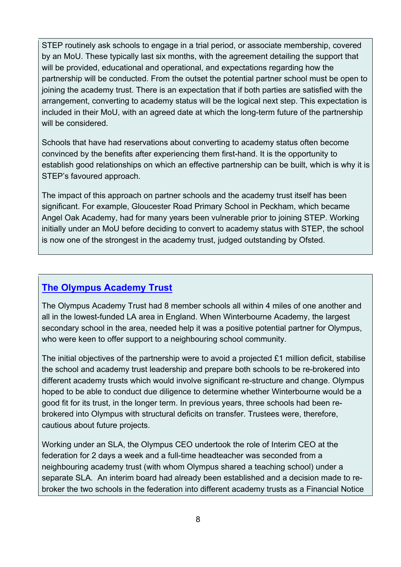STEP routinely ask schools to engage in a trial period, or associate membership, covered by an MoU. These typically last six months, with the agreement detailing the support that will be provided, educational and operational, and expectations regarding how the partnership will be conducted. From the outset the potential partner school must be open to joining the academy trust. There is an expectation that if both parties are satisfied with the arrangement, converting to academy status will be the logical next step. This expectation is included in their MoU, with an agreed date at which the long-term future of the partnership will be considered.

Schools that have had reservations about converting to academy status often become convinced by the benefits after experiencing them first-hand. It is the opportunity to establish good relationships on which an effective partnership can be built, which is why it is STEP's favoured approach.

The impact of this approach on partner schools and the academy trust itself has been significant. For example, Gloucester Road Primary School in Peckham, which became Angel Oak Academy, had for many years been vulnerable prior to joining STEP. Working initially under an MoU before deciding to convert to academy status with STEP, the school is now one of the strongest in the academy trust, judged outstanding by Ofsted.

#### **[The Olympus Academy Trust](https://www.olympustrust.co.uk/)**

The Olympus Academy Trust had 8 member schools all within 4 miles of one another and all in the lowest-funded LA area in England. When Winterbourne Academy, the largest secondary school in the area, needed help it was a positive potential partner for Olympus, who were keen to offer support to a neighbouring school community.

The initial objectives of the partnership were to avoid a projected £1 million deficit, stabilise the school and academy trust leadership and prepare both schools to be re-brokered into different academy trusts which would involve significant re-structure and change. Olympus hoped to be able to conduct due diligence to determine whether Winterbourne would be a good fit for its trust, in the longer term. In previous years, three schools had been rebrokered into Olympus with structural deficits on transfer. Trustees were, therefore, cautious about future projects.

Working under an SLA, the Olympus CEO undertook the role of Interim CEO at the federation for 2 days a week and a full-time headteacher was seconded from a neighbouring academy trust (with whom Olympus shared a teaching school) under a separate SLA. An interim board had already been established and a decision made to rebroker the two schools in the federation into different academy trusts as a Financial Notice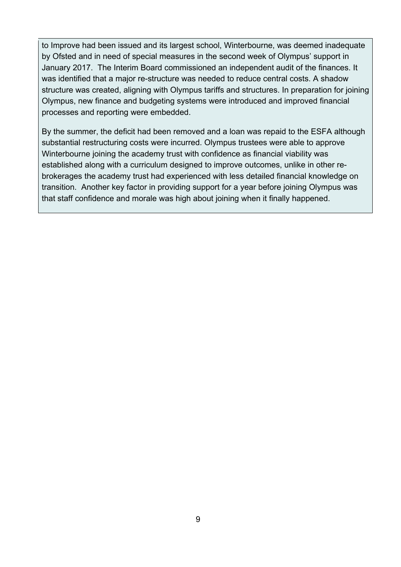to Improve had been issued and its largest school, Winterbourne, was deemed inadequate by Ofsted and in need of special measures in the second week of Olympus' support in January 2017. The Interim Board commissioned an independent audit of the finances. It was identified that a major re-structure was needed to reduce central costs. A shadow structure was created, aligning with Olympus tariffs and structures. In preparation for joining Olympus, new finance and budgeting systems were introduced and improved financial processes and reporting were embedded.

By the summer, the deficit had been removed and a loan was repaid to the ESFA although substantial restructuring costs were incurred. Olympus trustees were able to approve Winterbourne joining the academy trust with confidence as financial viability was established along with a curriculum designed to improve outcomes, unlike in other rebrokerages the academy trust had experienced with less detailed financial knowledge on transition. Another key factor in providing support for a year before joining Olympus was that staff confidence and morale was high about joining when it finally happened.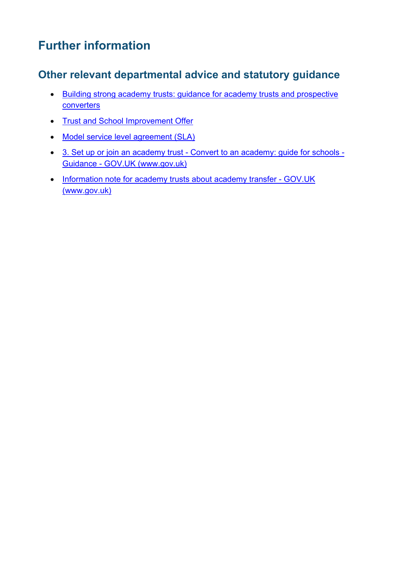## **Further information**

#### **Other relevant departmental advice and statutory guidance**

- [Building strong academy trusts: guidance for academy trusts and prospective](https://www.gov.uk/government/publications/multi-academy-trusts-establishing-and-developing-your-trust)  **[converters](https://www.gov.uk/government/publications/multi-academy-trusts-establishing-and-developing-your-trust)**
- [Trust and School Improvement Offer](https://www.gov.uk/guidance/trust-and-school-improvement-offer)
- [Model service level agreement \(SLA\)](https://www.gov.uk/government/publications/multi-academy-trusts-establishing-and-developing-your-trust)
- [3. Set up or join an academy trust Convert to an academy: guide for schools](https://www.gov.uk/guidance/convert-to-an-academy-information-for-schools/3-prepare-for-conversion)  [Guidance - GOV.UK \(www.gov.uk\)](https://www.gov.uk/guidance/convert-to-an-academy-information-for-schools/3-prepare-for-conversion)
- Information note for academy trusts about academy transfer GOV.UK [\(www.gov.uk\)](https://www.gov.uk/government/publications/academy-transfers-information-for-academy-trusts/information-note-for-academy-trusts-about-academy-transfer)